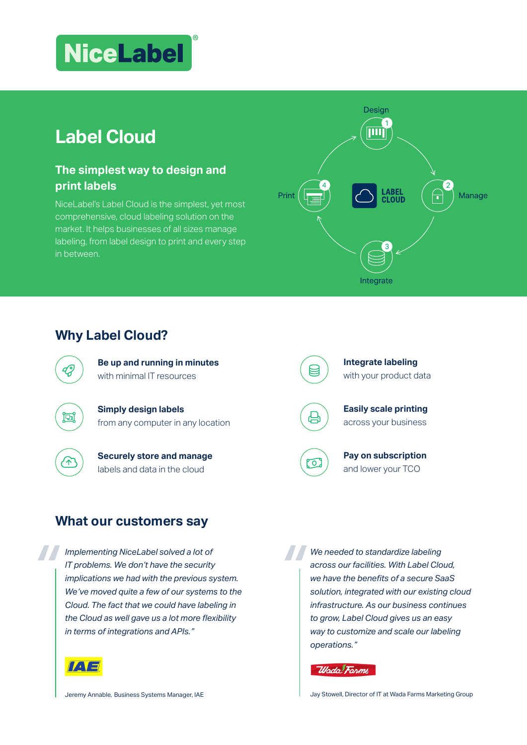# **NiceLabel**

## **Label Cloud**

#### **The simplest way to design and print labels**

NiceLabel's Label Cloud is the simplest, yet most comprehensive, cloud labeling solution on the market. It helps businesses of all sizes manage labeling, from label design to print and every step in between.



### **Why Label Cloud?**



**Be up and running in minutes**  with minimal IT resources

**Simply design labels**  from any computer in any location



囸

#### **Securely store and manage** labels and data in the cloud

**Integrate labeling**  with your product data



**Easily scale printing** across your business



闫

**Pay on subscription**  and lower your TCO

#### **What our customers say**

*Implementing NiceLabel solved a lot of IT problems. We don't have the security implications we had with the previous system. We've moved quite a few of our systems to the Cloud. The fact that we could have labeling in the Cloud as well gave us a lot more flexibility in terms of integrations and APIs."*



*We needed to standardize labeling across our facilities. With Label Cloud, we have the benefits of a secure SaaS solution, integrated with our existing cloud infrastructure. As our business continues to grow, Label Cloud gives us an easy way to customize and scale our labeling operations."*

Wada Farms

Jay Stowell, Director of IT at Wada Farms Marketing Group